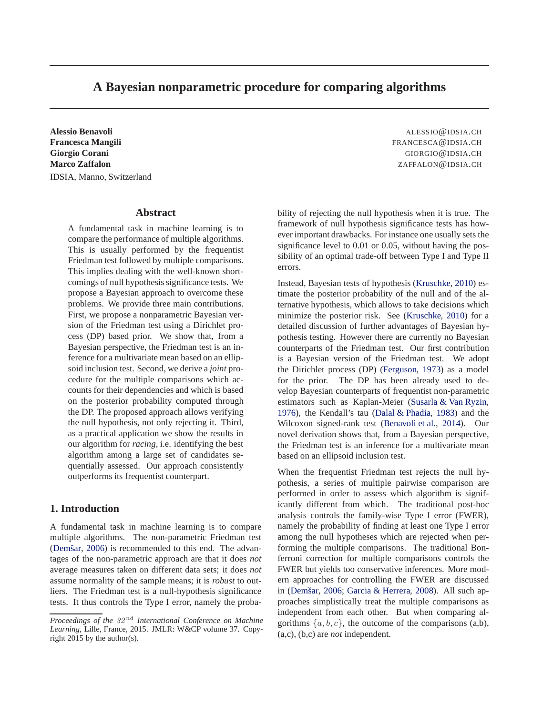# **A Bayesian nonparametric procedure for comparing algorithms**

**Alessio Benavoli** ALESSIO@IDSIA.CH **Francesca Mangili** FRANCESCA@IDSIA.CH **Giorgio Corani** GIORGIO@IDSIA.CH **Marco Zaffalon ZAFFALON@IDSIA.CH** IDSIA, Manno, Switzerland

# **Abstract**

A fundamental task in machine learning is to compare the performance of multiple algorithms. This is usually performed by the frequentist Friedman test followed by multiple comparisons. This implies dealing with the well-known shortcomings of null hypothesis significance tests. We propose a Bayesian approach to overcome these problems. We provide three main contributions. First, we propose a nonparametric Bayesian version of the Friedman test using a Dirichlet process (DP) based prior. We show that, from a Bayesian perspective, the Friedman test is an inference for a multivariate mean based on an ellipsoid inclusion test. Second, we derive a *joint* procedure for the multiple comparisons which accounts for their dependencies and which is based on the posterior probability computed through the DP. The proposed approach allows verifying the null hypothesis, not only rejecting it. Third, as a practical application we show the results in our algorithm for *racing*, i.e. identifying the best algorithm among a large set of candidates sequentially assessed. Our approach consistently outperforms its frequentist counterpart.

### **1. Introduction**

A fundamental task in machine learning is to compare multiple algorithms. The non-parametric Friedman test (Demšar, [2006\)](#page-8-0) is recommended to this end. The advantages of the non-parametric approach are that it does *not* average measures taken on different data sets; it does *not* assume normality of the sample means; it is *robust* to outliers. The Friedman test is a null-hypothesis significance tests. It thus controls the Type I error, namely the proba-

bility of rejecting the null hypothesis when it is true. The framework of null hypothesis significance tests has however important drawbacks. For instance one usually sets the significance level to 0.01 or 0.05, without having the possibility of an optimal trade-off between Type I and Type II errors.

Instead, Bayesian tests of hypothesis [\(Kruschke,](#page-8-0) [2010\)](#page-8-0) estimate the posterior probability of the null and of the alternative hypothesis, which allows to take decisions which minimize the posterior risk. See [\(Kruschke,](#page-8-0) [2010\)](#page-8-0) for a detailed discussion of further advantages of Bayesian hypothesis testing. However there are currently no Bayesian counterparts of the Friedman test. Our first contribution is a Bayesian version of the Friedman test. We adopt the Dirichlet process (DP) [\(Ferguson,](#page-8-0) [1973\)](#page-8-0) as a model for the prior. The DP has been already used to develop Bayesian counterparts of frequentist non-parametric estimators such as Kaplan-Meier [\(Susarla & Van Ryzin,](#page-8-0) [1976\)](#page-8-0), the Kendall's tau [\(Dalal & Phadia,](#page-8-0) [1983\)](#page-8-0) and the Wilcoxon signed-rank test [\(Benavoli et al.,](#page-8-0) [2014\)](#page-8-0). Our novel derivation shows that, from a Bayesian perspective, the Friedman test is an inference for a multivariate mean based on an ellipsoid inclusion test.

When the frequentist Friedman test rejects the null hypothesis, a series of multiple pairwise comparison are performed in order to assess which algorithm is significantly different from which. The traditional post-hoc analysis controls the family-wise Type I error (FWER), namely the probability of finding at least one Type I error among the null hypotheses which are rejected when performing the multiple comparisons. The traditional Bonferroni correction for multiple comparisons controls the FWER but yields too conservative inferences. More modern approaches for controlling the FWER are discussed in (Demšar, [2006;](#page-8-0) [Garcia & Herrera](#page-8-0), [2008\)](#page-8-0). All such approaches simplistically treat the multiple comparisons as independent from each other. But when comparing algorithms  $\{a, b, c\}$ , the outcome of the comparisons (a,b), (a,c), (b,c) are *not* independent.

*Proceedings of the* 32 nd *International Conference on Machine Learning*, Lille, France, 2015. JMLR: W&CP volume 37. Copyright 2015 by the author(s).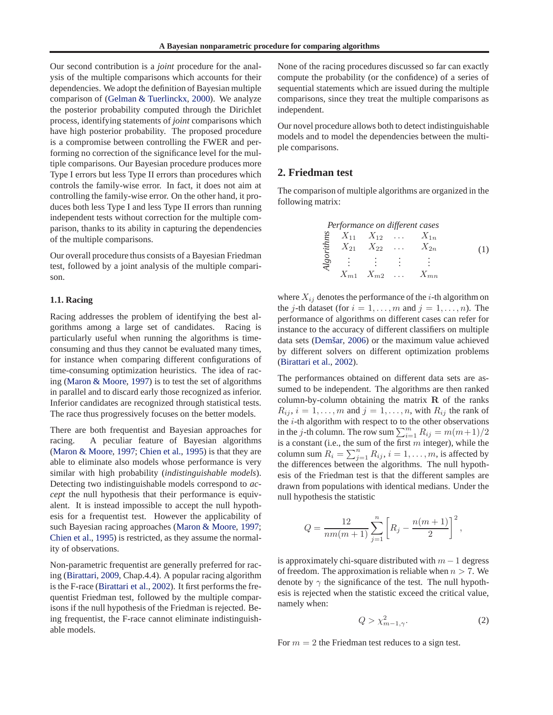<span id="page-1-0"></span>Our second contribution is a *joint* procedure for the analysis of the multiple comparisons which accounts for their dependencies. We adopt the definition of Bayesian multiple comparison of [\(Gelman & Tuerlinckx](#page-8-0), [2000\)](#page-8-0). We analyze the posterior probability computed through the Dirichlet process, identifying statements of *joint* comparisons which have high posterior probability. The proposed procedure is a compromise between controlling the FWER and performing no correction of the significance level for the multiple comparisons. Our Bayesian procedure produces more Type I errors but less Type II errors than procedures which controls the family-wise error. In fact, it does not aim at controlling the family-wise error. On the other hand, it produces both less Type I and less Type II errors than running independent tests without correction for the multiple comparison, thanks to its ability in capturing the dependencies of the multiple comparisons.

Our overall procedure thus consists of a Bayesian Friedman test, followed by a joint analysis of the multiple comparison.

#### **1.1. Racing**

Racing addresses the problem of identifying the best algorithms among a large set of candidates. Racing is particularly useful when running the algorithms is timeconsuming and thus they cannot be evaluated many times, for instance when comparing different configurations of time-consuming optimization heuristics. The idea of racing [\(Maron & Moore](#page-8-0), [1997](#page-8-0)) is to test the set of algorithms in parallel and to discard early those recognized as inferior. Inferior candidates are recognized through statistical tests. The race thus progressively focuses on the better models.

There are both frequentist and Bayesian approaches for racing. A peculiar feature of Bayesian algorithms [\(Maron & Moore,](#page-8-0) [1997;](#page-8-0) [Chien et al.,](#page-8-0) [1995\)](#page-8-0) is that they are able to eliminate also models whose performance is very similar with high probability (*indistinguishable models*). Detecting two indistinguishable models correspond to *accept* the null hypothesis that their performance is equivalent. It is instead impossible to accept the null hypothesis for a frequentist test. However the applicability of such Bayesian racing approaches [\(Maron & Moore](#page-8-0), [1997;](#page-8-0) [Chien et al.](#page-8-0), [1995\)](#page-8-0) is restricted, as they assume the normality of observations.

Non-parametric frequentist are generally preferred for racing [\(Birattari](#page-8-0), [2009,](#page-8-0) Chap.4.4). A popular racing algorithm is the F-race [\(Birattari et al.](#page-8-0), [2002\)](#page-8-0). It first performs the frequentist Friedman test, followed by the multiple comparisons if the null hypothesis of the Friedman is rejected. Being frequentist, the F-race cannot eliminate indistinguishable models.

None of the racing procedures discussed so far can exactly compute the probability (or the confidence) of a series of sequential statements which are issued during the multiple comparisons, since they treat the multiple comparisons as independent.

Our novel procedure allows both to detect indistinguishable models and to model the dependencies between the multiple comparisons.

# **2. Friedman test**

The comparison of multiple algorithms are organized in the following matrix:

Performance on different cases

\n
$$
\sum_{n=1}^{\infty} X_{11} X_{12} \dots X_{1n}
$$
\n
$$
X_{21} X_{22} \dots X_{2n}
$$
\n
$$
\sum_{n=1}^{\infty} X_{n1} X_{m2} \dots X_{mn}
$$
\n
$$
(1)
$$

where  $X_{ij}$  denotes the performance of the *i*-th algorithm on the j-th dataset (for  $i = 1, \ldots, m$  and  $j = 1, \ldots, n$ ). The performance of algorithms on different cases can refer for instance to the accuracy of different classifiers on multiple data sets (Demšar, [2006](#page-8-0)) or the maximum value achieved by different solvers on different optimization problems [\(Birattari et al.,](#page-8-0) [2002\)](#page-8-0).

The performances obtained on different data sets are assumed to be independent. The algorithms are then ranked column-by-column obtaining the matrix  $\bf{R}$  of the ranks  $R_{ij}$ ,  $i = 1, \ldots, m$  and  $j = 1, \ldots, n$ , with  $R_{ij}$  the rank of the  $i$ -th algorithm with respect to to the other observations in the *j*-th column. The row sum  $\sum_{i=1}^{m} R_{ij} = m(m+1)/2$ is a constant (i.e., the sum of the first  $m$  integer), while the column sum  $R_i = \sum_{j=1}^n R_{ij}$ ,  $i = 1, \ldots, m$ , is affected by the differences between the algorithms. The null hypothesis of the Friedman test is that the different samples are drawn from populations with identical medians. Under the null hypothesis the statistic

$$
Q = \frac{12}{nm(m+1)} \sum_{j=1}^{n} \left[ R_j - \frac{n(m+1)}{2} \right]^2,
$$

is approximately chi-square distributed with  $m - 1$  degress of freedom. The approximation is reliable when  $n > 7$ . We denote by  $\gamma$  the significance of the test. The null hypothesis is rejected when the statistic exceed the critical value, namely when:

$$
Q > \chi^2_{m-1,\gamma}.\tag{2}
$$

For  $m = 2$  the Friedman test reduces to a sign test.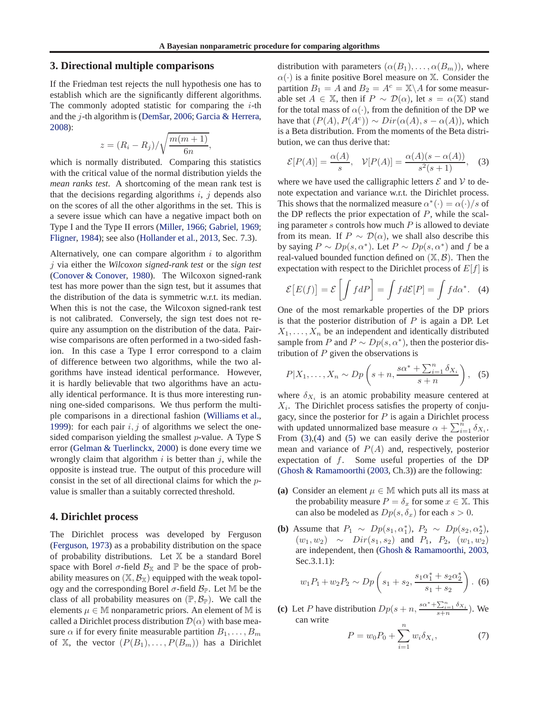### <span id="page-2-0"></span>**3. Directional multiple comparisons**

If the Friedman test rejects the null hypothesis one has to establish which are the significantly different algorithms. The commonly adopted statistic for comparing the  $i$ -th and the  $i$ -th algorithm is (Demšar, [2006;](#page-8-0) [Garcia & Herrera,](#page-8-0) [2008\)](#page-8-0):

$$
z = (R_i - R_j) / \sqrt{\frac{m(m+1)}{6n}},
$$

which is normally distributed. Comparing this statistics with the critical value of the normal distribution yields the *mean ranks test*. A shortcoming of the mean rank test is that the decisions regarding algorithms  $i, j$  depends also on the scores of all the other algorithms in the set. This is a severe issue which can have a negative impact both on Type I and the Type II errors [\(Miller](#page-8-0), [1966;](#page-8-0) [Gabriel,](#page-8-0) [1969;](#page-8-0) [Fligner](#page-8-0), [1984](#page-8-0)); see also [\(Hollander et al.](#page-8-0), [2013,](#page-8-0) Sec. 7.3).

Alternatively, one can compare algorithm  $i$  to algorithm j via either the *Wilcoxon signed-rank test* or the *sign test* [\(Conover & Conover,](#page-8-0) [1980](#page-8-0)). The Wilcoxon signed-rank test has more power than the sign test, but it assumes that the distribution of the data is symmetric w.r.t. its median. When this is not the case, the Wilcoxon signed-rank test is not calibrated. Conversely, the sign test does not require any assumption on the distribution of the data. Pairwise comparisons are often performed in a two-sided fashion. In this case a Type I error correspond to a claim of difference between two algorithms, while the two algorithms have instead identical performance. However, it is hardly believable that two algorithms have an actually identical performance. It is thus more interesting running one-sided comparisons. We thus perform the multiple comparisons in a directional fashion [\(Williams et al.,](#page-8-0) [1999\)](#page-8-0): for each pair  $i, j$  of algorithms we select the onesided comparison yielding the smallest p-value. A Type S error [\(Gelman & Tuerlinckx,](#page-8-0) [2000](#page-8-0)) is done every time we wrongly claim that algorithm  $i$  is better than  $j$ , while the opposite is instead true. The output of this procedure will consist in the set of all directional claims for which the pvalue is smaller than a suitably corrected threshold.

#### **4. Dirichlet process**

The Dirichlet process was developed by Ferguson [\(Ferguson,](#page-8-0) [1973\)](#page-8-0) as a probability distribution on the space of probability distributions. Let X be a standard Borel space with Borel  $\sigma$ -field  $\mathcal{B}_{\mathbb{X}}$  and  $\mathbb{P}$  be the space of probability measures on  $(\mathbb{X}, \mathcal{B}_{\mathbb{X}})$  equipped with the weak topology and the corresponding Borel  $\sigma$ -field  $\mathcal{B}_{\mathbb{P}}$ . Let M be the class of all probability measures on  $(\mathbb{P}, \mathcal{B}_{\mathbb{P}})$ . We call the elements  $\mu \in \mathbb{M}$  nonparametric priors. An element of M is called a Dirichlet process distribution  $\mathcal{D}(\alpha)$  with base measure  $\alpha$  if for every finite measurable partition  $B_1, \ldots, B_m$ of X, the vector  $(P(B_1), \ldots, P(B_m))$  has a Dirichlet

distribution with parameters  $(\alpha(B_1), \ldots, \alpha(B_m))$ , where  $\alpha(\cdot)$  is a finite positive Borel measure on X. Consider the partition  $B_1 = A$  and  $B_2 = A^c = \mathbb{X} \setminus A$  for some measurable set  $A \in \mathbb{X}$ , then if  $P \sim \mathcal{D}(\alpha)$ , let  $s = \alpha(\mathbb{X})$  stand for the total mass of  $\alpha(\cdot)$ , from the definition of the DP we have that  $(P(A), P(A^c)) \sim Dir(\alpha(A), s - \alpha(A))$ , which is a Beta distribution. From the moments of the Beta distribution, we can thus derive that:

$$
\mathcal{E}[P(A)] = \frac{\alpha(A)}{s}, \quad \mathcal{V}[P(A)] = \frac{\alpha(A)(s - \alpha(A))}{s^2(s + 1)}, \quad (3)
$$

where we have used the calligraphic letters  $\mathcal E$  and  $\mathcal V$  to denote expectation and variance w.r.t. the Dirichlet process. This shows that the normalized measure  $\alpha^*(\cdot) = \alpha(\cdot)/s$  of the DP reflects the prior expectation of  $P$ , while the scaling parameter  $s$  controls how much  $P$  is allowed to deviate from its mean. If  $P \sim \mathcal{D}(\alpha)$ , we shall also describe this by saying  $P \sim Dp(s, \alpha^*)$ . Let  $P \sim Dp(s, \alpha^*)$  and f be a real-valued bounded function defined on  $(\mathbb{X}, \mathcal{B})$ . Then the expectation with respect to the Dirichlet process of  $E[f]$  is

$$
\mathcal{E}[E(f)] = \mathcal{E}\left[\int f dP\right] = \int f d\mathcal{E}[P] = \int f d\alpha^*.
$$
 (4)

One of the most remarkable properties of the DP priors is that the posterior distribution of  $P$  is again a DP. Let  $X_1, \ldots, X_n$  be an independent and identically distributed sample from P and  $P \sim Dp(s, \alpha^*)$ , then the posterior distribution of  $P$  given the observations is

$$
P|X_1, \ldots, X_n \sim Dp\left(s+n, \frac{s\alpha^* + \sum_{i=1}^n \delta_{X_i}}{s+n}\right), \quad (5)
$$

where  $\delta_{X_i}$  is an atomic probability measure centered at  $X_i$ . The Dirichlet process satisfies the property of conjugacy, since the posterior for  $P$  is again a Dirichlet process with updated unnormalized base measure  $\alpha + \sum_{i=1}^{\hat{n}} \delta_{X_i}$ . From (3),(4) and (5) we can easily derive the posterior mean and variance of  $P(A)$  and, respectively, posterior expectation of f. Some useful properties of the DP [\(Ghosh & Ramamoorthi](#page-8-0) [\(2003](#page-8-0), Ch.3)) are the following:

- **(a)** Consider an element  $\mu \in M$  which puts all its mass at the probability measure  $P = \delta_x$  for some  $x \in \mathbb{X}$ . This can also be modeled as  $Dp(s, \delta_x)$  for each  $s > 0$ .
- **(b)** Assume that  $P_1 \sim Dp(s_1, \alpha_1^*)$ ,  $P_2 \sim Dp(s_2, \alpha_2^*)$ ,  $(w_1, w_2) \sim Dir(s_1, s_2)$  and  $P_1$ ,  $P_2$ ,  $(w_1, w_2)$ are independent, then [\(Ghosh & Ramamoorthi,](#page-8-0) [2003,](#page-8-0) Sec.3.1.1):

$$
w_1 P_1 + w_2 P_2 \sim Dp\left(s_1 + s_2, \frac{s_1 \alpha_1^* + s_2 \alpha_2^*}{s_1 + s_2}\right). \tag{6}
$$

(c) Let P have distribution  $Dp(s+n, \frac{s\alpha^* + \sum_{i=1}^n \delta_{X_i}}{s+n})$ . We can write

$$
P = w_0 P_0 + \sum_{i=1}^{n} w_i \delta_{X_i},
$$
 (7)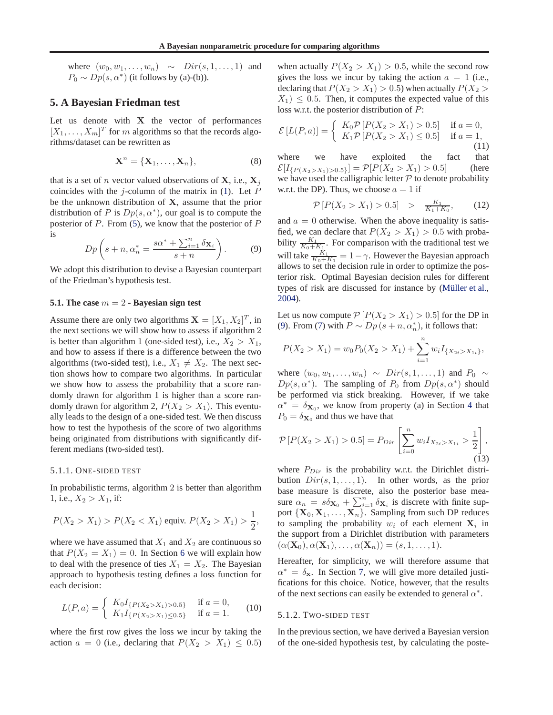<span id="page-3-0"></span>where  $(w_0, w_1, \ldots, w_n) \sim Dir(s, 1, \ldots, 1)$  and  $P_0 \sim Dp(s, \alpha^*)$  (it follows by (a)-(b)).

### **5. A Bayesian Friedman test**

Let us denote with  $X$  the vector of performances  $[X_1, \ldots, X_m]^T$  for m algorithms so that the records algorithms/dataset can be rewritten as

$$
\mathbf{X}^n = \{\mathbf{X}_1, \dots, \mathbf{X}_n\},\tag{8}
$$

that is a set of *n* vector valued observations of **X**, i.e.,  $X_i$ coincides with the j-column of the matrix in  $(1)$ . Let P be the unknown distribution of X, assume that the prior distribution of P is  $Dp(s, \alpha^*)$ , our goal is to compute the posterior of  $P$ . From [\(5\)](#page-2-0), we know that the posterior of  $P$ is

$$
Dp\left(s+n,\alpha_n^*=\frac{s\alpha^*+\sum_{i=1}^n\delta_{\mathbf{X}_i}}{s+n}\right).
$$
 (9)

We adopt this distribution to devise a Bayesian counterpart of the Friedman's hypothesis test.

#### **5.1. The case** m = 2 **- Bayesian sign test**

Assume there are only two algorithms  $\mathbf{X} = [X_1, X_2]^T$ , in the next sections we will show how to assess if algorithm 2 is better than algorithm 1 (one-sided test), i.e.,  $X_2 > X_1$ , and how to assess if there is a difference between the two algorithms (two-sided test), i.e.,  $X_1 \neq X_2$ . The next section shows how to compare two algorithms. In particular we show how to assess the probability that a score randomly drawn for algorithm 1 is higher than a score randomly drawn for algorithm 2,  $P(X_2 > X_1)$ . This eventually leads to the design of a one-sided test. We then discuss how to test the hypothesis of the score of two algorithms being originated from distributions with significantly different medians (two-sided test).

#### 5.1.1. ONE-SIDED TEST

In probabilistic terms, algorithm 2 is better than algorithm 1, i.e.,  $X_2 > X_1$ , if:

$$
P(X_2 > X_1) > P(X_2 < X_1)
$$
equiv.  $P(X_2 > X_1) > \frac{1}{2}$ ,

where we have assumed that  $X_1$  and  $X_2$  are continuous so that  $P(X_2 = X_1) = 0$ . In Section [6](#page-5-0) we will explain how to deal with the presence of ties  $X_1 = X_2$ . The Bayesian approach to hypothesis testing defines a loss function for each decision:

$$
L(P,a) = \begin{cases} K_0 I_{\{P(X_2 > X_1) > 0.5\}} & \text{if } a = 0, \\ K_1 I_{\{P(X_2 > X_1) \le 0.5\}} & \text{if } a = 1. \end{cases}
$$
 (10)

where the first row gives the loss we incur by taking the action  $a = 0$  (i.e., declaring that  $P(X_2 > X_1) \leq 0.5$ )

when actually  $P(X_2 > X_1) > 0.5$ , while the second row gives the loss we incur by taking the action  $a = 1$  (i.e., declaring that  $P(X_2 > X_1) > 0.5$ ) when actually  $P(X_2 >$  $X_1$ )  $\leq$  0.5. Then, it computes the expected value of this loss w.r.t. the posterior distribution of P:

$$
\mathcal{E}\left[L(P,a)\right] = \begin{cases} K_0 \mathcal{P}\left[P(X_2 > X_1) > 0.5\right] & \text{if } a = 0, \\ K_1 \mathcal{P}\left[P(X_2 > X_1) \le 0.5\right] & \text{if } a = 1, \\ (11) \end{cases}
$$

where we have exploited the fact that  $\mathcal{E}[I_{\{P(X_2 > X_1) > 0.5\}}] = \mathcal{P}[P(X_2 > X_1) > 0.5]$  (here we have used the calligraphic letter  $P$  to denote probability w.r.t. the DP). Thus, we choose  $a = 1$  if

$$
\mathcal{P}\left[P(X_2 > X_1) > 0.5\right] > \frac{K_1}{K_1 + K_0},\tag{12}
$$

and  $a = 0$  otherwise. When the above inequality is satisfied, we can declare that  $P(X_2 > X_1) > 0.5$  with probability  $\frac{K_1}{K_0+K_1}$ . For comparison with the traditional test we will take  $\frac{K_1}{K_0+K_1} = 1 - \gamma$ . However the Bayesian approach allows to set the decision rule in order to optimize the posterior risk. Optimal Bayesian decision rules for different types of risk are discussed for instance by (Müller et al., [2004\)](#page-8-0).

Let us now compute  $P[P(X_2 > X_1) > 0.5]$  for the DP in (9). From [\(7\)](#page-2-0) with  $P \sim Dp(s + n, \alpha_n^*)$ , it follows that:

$$
P(X_2 > X_1) = w_0 P_0(X_2 > X_1) + \sum_{i=1}^n w_i I_{\{X_{2i} > X_{1i}\}},
$$

where  $(w_0, w_1, \ldots, w_n) \sim Dir(s, 1, \ldots, 1)$  and  $P_0 \sim$  $Dp(s, \alpha^*)$ . The sampling of  $P_0$  from  $Dp(s, \alpha^*)$  should be performed via stick breaking. However, if we take  $\alpha^* = \delta_{\mathbf{X}_0}$ , we know from property (a) in Section [4](#page-2-0) that  $P_0 = \delta_{\mathbf{X}_0}$  and thus we have that

$$
\mathcal{P}\left[P(X_2 > X_1) > 0.5\right] = P_{Dir}\left[\sum_{i=0}^{n} w_i I_{X_{2i} > X_{1i}} > \frac{1}{2}\right],\tag{13}
$$

where  $P_{Dir}$  is the probability w.r.t. the Dirichlet distribution  $Dir(s, 1, \ldots, 1)$ . In other words, as the prior base measure is discrete, also the posterior base measure  $\alpha_n = s \delta_{\mathbf{X}_0} + \sum_{i=1}^n \delta_{\mathbf{X}_i}$  is discrete with finite support  $\{X_0, X_1, \ldots, X_n\}$ . Sampling from such DP reduces to sampling the probability  $w_i$  of each element  $X_i$  in the support from a Dirichlet distribution with parameters  $(\alpha(\mathbf{X}_0), \alpha(\mathbf{X}_1), \ldots, \alpha(\mathbf{X}_n)) = (s, 1, \ldots, 1).$ 

Hereafter, for simplicity, we will therefore assume that  $\alpha^* = \delta_{\mathbf{x}}$ . In Section [7,](#page-5-0) we will give more detailed justifications for this choice. Notice, however, that the results of the next sections can easily be extended to general  $\alpha^*$ .

#### 5.1.2. TWO-SIDED TEST

In the previous section, we have derived a Bayesian version of the one-sided hypothesis test, by calculating the poste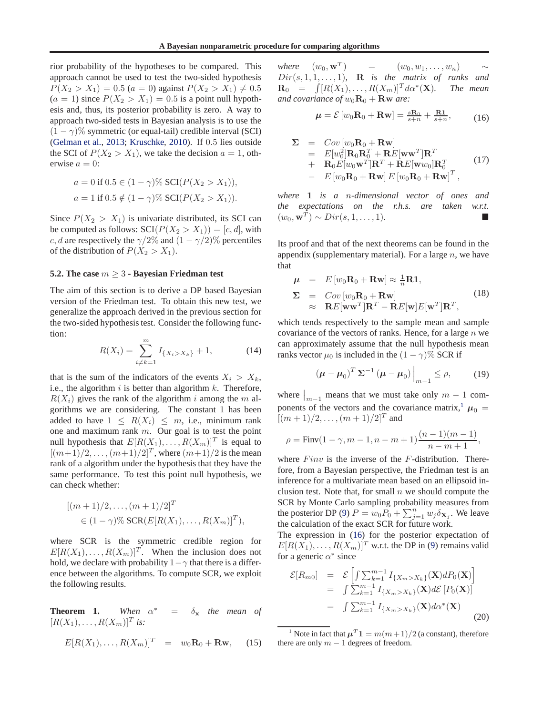<span id="page-4-0"></span>rior probability of the hypotheses to be compared. This approach cannot be used to test the two-sided hypothesis  $P(X_2 > X_1) = 0.5$   $(a = 0)$  against  $P(X_2 > X_1) \neq 0.5$  $(a = 1)$  since  $P(X_2 > X_1) = 0.5$  is a point null hypothesis and, thus, its posterior probability is zero. A way to approach two-sided tests in Bayesian analysis is to use the  $(1 - \gamma)\%$  symmetric (or equal-tail) credible interval (SCI) [\(Gelman et al.](#page-8-0), [2013;](#page-8-0) [Kruschke,](#page-8-0) [2010](#page-8-0)). If 0.5 lies outside the SCI of  $P(X_2 > X_1)$ , we take the decision  $a = 1$ , otherwise  $a = 0$ :

$$
a = 0 \text{ if } 0.5 \in (1 - \gamma)\% \text{ SCI}(P(X_2 > X_1)),
$$
  

$$
a = 1 \text{ if } 0.5 \notin (1 - \gamma)\% \text{ SCI}(P(X_2 > X_1)).
$$

Since  $P(X_2 > X_1)$  is univariate distributed, its SCI can be computed as follows:  $SCI(P(X_2 > X_1)) = [c, d]$ , with c, d are respectively the  $\gamma/2\%$  and  $(1 - \gamma/2)\%$  percentiles of the distribution of  $P(X_2 > X_1)$ .

#### **5.2. The case** m ≥ 3 **- Bayesian Friedman test**

The aim of this section is to derive a DP based Bayesian version of the Friedman test. To obtain this new test, we generalize the approach derived in the previous section for the two-sided hypothesis test. Consider the following function:

$$
R(X_i) = \sum_{i \neq k=1}^{m} I_{\{X_i > X_k\}} + 1,
$$
 (14)

that is the sum of the indicators of the events  $X_i > X_k$ , i.e., the algorithm  $i$  is better than algorithm  $k$ . Therefore,  $R(X_i)$  gives the rank of the algorithm i among the m algorithms we are considering. The constant 1 has been added to have  $1 \leq R(X_i) \leq m$ , i.e., minimum rank one and maximum rank  $m$ . Our goal is to test the point null hypothesis that  $E[R(X_1),...,R(X_m)]^T$  is equal to  $[(m+1)/2, \ldots, (m+1)/2]^T$ , where  $(m+1)/2$  is the mean rank of a algorithm under the hypothesis that they have the same performance. To test this point null hypothesis, we can check whether:

$$
[(m+1)/2, ..., (m+1)/2]^T
$$
  
\n
$$
\in (1-\gamma)\% \text{SCR}(E[R(X_1), ..., R(X_m)]^T),
$$

where SCR is the symmetric credible region for  $E[R(X_1),...,R(X_m)]^T$ . When the inclusion does not hold, we declare with probability  $1-\gamma$  that there is a difference between the algorithms. To compute SCR, we exploit the following results.

**Theorem 1.** *When* α  $=$   $\delta_{\mathbf{x}}$  *the mean of*  $[R(X_1),..., R(X_m)]^T$  is:

$$
E[R(X_1),\ldots,R(X_m)]^T = w_0 \mathbf{R}_0 + \mathbf{R}\mathbf{w}, \qquad (15)
$$

*where*  $(w_0, \mathbf{w}^T)$  $=$   $(w_0, w_1, \ldots, w_n)$  ∼  $Dir(s, 1, 1, \ldots, 1)$ , **R** *is the matrix of ranks and*  $\mathbf{R}_0$  =  $\int [R(X_1), \ldots, R(X_m)]^T d\alpha^*$  $The$  mean *and covariance of*  $w_0 \mathbf{R}_0 + \mathbf{R} \mathbf{w}$  are:

$$
\mu = \mathcal{E}\left[w_0\mathbf{R}_0 + \mathbf{R}\mathbf{w}\right] = \frac{s\mathbf{R}_0}{s+n} + \frac{\mathbf{R}\mathbf{1}}{s+n},\tag{16}
$$

$$
\Sigma = Cov[w_0\mathbf{R}_0 + \mathbf{R}\mathbf{w}]
$$
  
\n
$$
= E[w_0^2]\mathbf{R}_0\mathbf{R}_0^T + \mathbf{R}E[\mathbf{w}\mathbf{w}^T]\mathbf{R}^T
$$
  
\n
$$
+ \mathbf{R}_0E[w_0\mathbf{w}^T]\mathbf{R}^T + \mathbf{R}E[\mathbf{w}w_0]\mathbf{R}_0^T
$$
  
\n
$$
- E[w_0\mathbf{R}_0 + \mathbf{R}\mathbf{w}]E[w_0\mathbf{R}_0 + \mathbf{R}\mathbf{w}]^T,
$$
\n(17)

*where* 1 *is a* n*-dimensional vector of ones and the expectations on the r.h.s. are taken w.r.t.*  $(w_0, \mathbf{w}^T) \sim Dir(s, 1, \dots, 1).$ 

Its proof and that of the next theorems can be found in the appendix (supplementary material). For a large  $n$ , we have that

$$
\mu = E[w_0 \mathbf{R}_0 + \mathbf{R} \mathbf{w}] \approx \frac{1}{n} \mathbf{R} \mathbf{1},
$$
  
\n
$$
\Sigma = Cov[w_0 \mathbf{R}_0 + \mathbf{R} \mathbf{w}]
$$
  
\n
$$
\approx \mathbf{R} E[\mathbf{w} \mathbf{w}^T] \mathbf{R}^T - \mathbf{R} E[\mathbf{w}] E[\mathbf{w}^T] \mathbf{R}^T,
$$
\n(18)

which tends respectively to the sample mean and sample covariance of the vectors of ranks. Hence, for a large  $n$  we can approximately assume that the null hypothesis mean ranks vector  $\mu_0$  is included in the  $(1 - \gamma)\%$  SCR if

$$
\left(\boldsymbol{\mu} - \boldsymbol{\mu}_0\right)^T \boldsymbol{\Sigma}^{-1} \left(\boldsymbol{\mu} - \boldsymbol{\mu}_0\right)\Big|_{m-1} \leq \rho,\tag{19}
$$

where  $\big|_{m-1}$  means that we must take only  $m-1$  components of the vectors and the covariance matrix,<sup>1</sup>  $\mu_0$  =  $[(m+1)/2, \ldots, (m+1)/2]^T$  and

$$
\rho = \text{Finv}(1 - \gamma, m - 1, n - m + 1) \frac{(n - 1)(m - 1)}{n - m + 1},
$$

where  $Finv$  is the inverse of the  $F$ -distribution. Therefore, from a Bayesian perspective, the Friedman test is an inference for a multivariate mean based on an ellipsoid inclusion test. Note that, for small  $n$  we should compute the SCR by Monte Carlo sampling probability measures from the posterior DP [\(9\)](#page-3-0)  $P = w_0 P_0 + \sum_{j=1}^n w_j \delta_{\mathbf{X}_j}$ . We leave the calculation of the exact SCR for future work.

The expression in (16) for the posterior expectation of  $E[R(X_1), \ldots, R(X_m)]^T$  w.r.t. the DP in [\(9\)](#page-3-0) remains valid for a generic  $\alpha^*$  since

$$
\mathcal{E}[R_{m0}] = \mathcal{E}\left[\int \sum_{k=1}^{m-1} I_{\{X_m > X_k\}}(\mathbf{X}) dP_0(\mathbf{X})\right]
$$
  
\n
$$
= \int \sum_{k=1}^{m-1} I_{\{X_m > X_k\}}(\mathbf{X}) d\mathcal{E}\left[P_0(\mathbf{X})\right]
$$
  
\n
$$
= \int \sum_{k=1}^{m-1} I_{\{X_m > X_k\}}(\mathbf{X}) d\alpha^*(\mathbf{X})
$$
(20)

<sup>&</sup>lt;sup>1</sup> Note in fact that  $\mu^T \mathbf{1} = m(m+1)/2$  (a constant), therefore there are only  $m - 1$  degrees of freedom.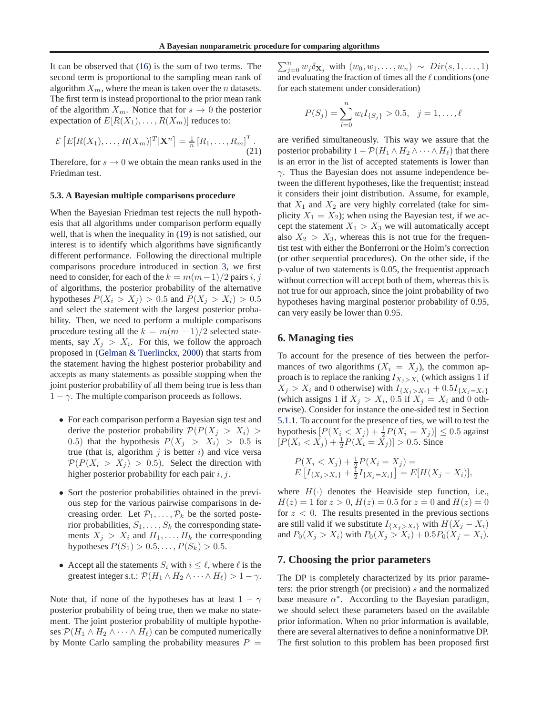<span id="page-5-0"></span>It can be observed that [\(16\)](#page-4-0) is the sum of two terms. The second term is proportional to the sampling mean rank of algorithm  $X_m$ , where the mean is taken over the *n* datasets. The first term is instead proportional to the prior mean rank of the algorithm  $X_m$ . Notice that for  $s \to 0$  the posterior expectation of  $E[R(X_1), \ldots, R(X_m)]$  reduces to:

$$
\mathcal{E}\left[E[R(X_1),\ldots,R(X_m)]^T|\mathbf{X}^n\right]=\frac{1}{n}\left[R_1,\ldots,R_m\right]^T.\tag{21}
$$

Therefore, for  $s \to 0$  we obtain the mean ranks used in the Friedman test.

#### **5.3. A Bayesian multiple comparisons procedure**

When the Bayesian Friedman test rejects the null hypothesis that all algorithms under comparison perform equally well, that is when the inequality in [\(19\)](#page-4-0) is not satisfied, our interest is to identify which algorithms have significantly different performance. Following the directional multiple comparisons procedure introduced in section [3,](#page-2-0) we first need to consider, for each of the  $k = m(m-1)/2$  pairs i, j of algorithms, the posterior probability of the alternative hypotheses  $P(X_i > X_j) > 0.5$  and  $P(X_i > X_i) > 0.5$ and select the statement with the largest posterior probability. Then, we need to perform a multiple comparisons procedure testing all the  $k = m(m - 1)/2$  selected statements, say  $X_j > X_i$ . For this, we follow the approach proposed in [\(Gelman & Tuerlinckx,](#page-8-0) [2000\)](#page-8-0) that starts from the statement having the highest posterior probability and accepts as many statements as possible stopping when the joint posterior probability of all them being true is less than  $1 - \gamma$ . The multiple comparison proceeds as follows.

- For each comparison perform a Bayesian sign test and derive the posterior probability  $\mathcal{P}(P(X_i > X_i) >$ 0.5) that the hypothesis  $P(X_j > X_i) > 0.5$  is true (that is, algorithm  $j$  is better  $i$ ) and vice versa  $\mathcal{P}(P(X_i > X_i) > 0.5)$ . Select the direction with higher posterior probability for each pair  $i, j$ .
- Sort the posterior probabilities obtained in the previous step for the various pairwise comparisons in decreasing order. Let  $\mathcal{P}_1, \ldots, \mathcal{P}_k$  be the sorted posterior probabilities,  $S_1, \ldots, S_k$  the corresponding statements  $X_j > X_i$  and  $H_1, \ldots, H_k$  the corresponding hypotheses  $P(S_1) > 0.5, ..., P(S_k) > 0.5$ .
- Accept all the statements  $S_i$  with  $i \leq \ell$ , where  $\ell$  is the greatest integer s.t.:  $\mathcal{P}(H_1 \wedge H_2 \wedge \cdots \wedge H_\ell) > 1 - \gamma$ .

Note that, if none of the hypotheses has at least  $1 - \gamma$ posterior probability of being true, then we make no statement. The joint posterior probability of multiple hypotheses  $\mathcal{P}(H_1 \wedge H_2 \wedge \cdots \wedge H_\ell)$  can be computed numerically by Monte Carlo sampling the probability measures  $P =$ 

 $\sum_{j=0}^{n} w_j \delta_{\mathbf{X}_j}$  with  $(w_0, w_1, \ldots, w_n) \sim Dir(s, 1, \ldots, 1)$ and evaluating the fraction of times all the  $\ell$  conditions (one for each statement under consideration)

$$
P(S_j) = \sum_{l=0}^{n} w_l I_{\{S_j\}} > 0.5, \quad j = 1, \dots, \ell
$$

are verified simultaneously. This way we assure that the posterior probability  $1 - \mathcal{P}(H_1 \wedge H_2 \wedge \cdots \wedge H_\ell)$  that there is an error in the list of accepted statements is lower than  $\gamma$ . Thus the Bayesian does not assume independence between the different hypotheses, like the frequentist; instead it considers their joint distribution. Assume, for example, that  $X_1$  and  $X_2$  are very highly correlated (take for simplicity  $X_1 = X_2$ ; when using the Bayesian test, if we accept the statement  $X_1 > X_3$  we will automatically accept also  $X_2 > X_3$ , whereas this is not true for the frequentist test with either the Bonferroni or the Holm's correction (or other sequential procedures). On the other side, if the p-value of two statements is 0.05, the frequentist approach without correction will accept both of them, whereas this is not true for our approach, since the joint probability of two hypotheses having marginal posterior probability of 0.95, can very easily be lower than 0.95.

# **6. Managing ties**

To account for the presence of ties between the performances of two algorithms  $(X_i = X_j)$ , the common approach is to replace the ranking  $I_{X_j>X_i}$  (which assigns 1 if  $X_j > X_i$  and 0 otherwise) with  $I_{\{X_j > X_i\}} + 0.5I_{\{X_j = X_i\}}$ (which assigns 1 if  $X_j > X_i$ , 0.5 if  $X_j = X_i$  and 0 otherwise). Consider for instance the one-sided test in Section [5.1.1.](#page-3-0) To account for the presence of ties, we will to test the hypothesis  $[P(X_i < X_j) + \frac{1}{2}P(X_i = X_j)] \leq 0.5$  against  $[P(X_i < X_j) + \frac{1}{2}P(X_i = \overline{X}_j)] > 0.5$ . Since

$$
P(X_i < X_j) + \frac{1}{2}P(X_i = X_j) = \\
E\left[I_{\{X_j > X_i\}} + \frac{1}{2}I_{\{X_j = X_i\}}\right] = E[H(X_j - X_i)],
$$

where  $H(\cdot)$  denotes the Heaviside step function, i.e.,  $H(z) = 1$  for  $z > 0$ ,  $H(z) = 0.5$  for  $z = 0$  and  $H(z) = 0$ for  $z < 0$ . The results presented in the previous sections are still valid if we substitute  $I_{\{X_j > X_i\}}$  with  $H(X_j - X_i)$ and  $P_0(X_j > X_i)$  with  $P_0(X_j > X_i) + 0.5P_0(X_j = X_i)$ .

# **7. Choosing the prior parameters**

The DP is completely characterized by its prior parameters: the prior strength (or precision) s and the normalized base measure  $\alpha^*$ . According to the Bayesian paradigm, we should select these parameters based on the available prior information. When no prior information is available, there are several alternatives to define a noninformative DP. The first solution to this problem has been proposed first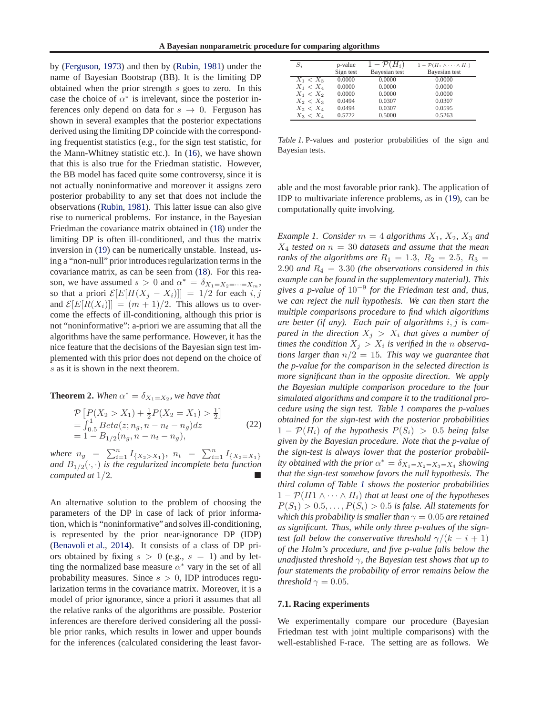by [\(Ferguson,](#page-8-0) [1973\)](#page-8-0) and then by [\(Rubin,](#page-8-0) [1981\)](#page-8-0) under the name of Bayesian Bootstrap (BB). It is the limiting DP obtained when the prior strength s goes to zero. In this case the choice of  $\alpha^*$  is irrelevant, since the posterior inferences only depend on data for  $s \to 0$ . Ferguson has shown in several examples that the posterior expectations derived using the limiting DP coincide with the corresponding frequentist statistics (e.g., for the sign test statistic, for the Mann-Whitney statistic etc.). In [\(16\)](#page-4-0), we have shown that this is also true for the Friedman statistic. However, the BB model has faced quite some controversy, since it is not actually noninformative and moreover it assigns zero posterior probability to any set that does not include the observations [\(Rubin,](#page-8-0) [1981](#page-8-0)). This latter issue can also give rise to numerical problems. For instance, in the Bayesian Friedman the covariance matrix obtained in [\(18\)](#page-4-0) under the limiting DP is often ill-conditioned, and thus the matrix inversion in [\(19\)](#page-4-0) can be numerically unstable. Instead, using a "non-null" prior introduces regularization terms in the covariance matrix, as can be seen from [\(18\)](#page-4-0). For this reason, we have assumed  $s > 0$  and  $\alpha^* = \delta_{X_1 = X_2 = \dots = X_m}$ , so that a priori  $\mathcal{E}[E[H(X_i - X_i)]] = 1/2$  for each i, j and  $\mathcal{E}[E[R(X_i)]] = (m+1)/2$ . This allows us to overcome the effects of ill-conditioning, although this prior is not "noninformative": a-priori we are assuming that all the algorithms have the same performance. However, it has the nice feature that the decisions of the Bayesian sign test implemented with this prior does not depend on the choice of s as it is shown in the next theorem.

**Theorem 2.** When  $\alpha^* = \delta_{X_1 = X_2}$ , we have that

$$
\mathcal{P}\left[P(X_2 > X_1) + \frac{1}{2}P(X_2 = X_1) > \frac{1}{2}\right]
$$
  
=  $\int_{0.5}^{1} Beta(z; n_g, n - n_t - n_g) dz$  (22)  
=  $1 - B_{1/2}(n_g, n - n_t - n_g)$ ,

where  $n_g = \sum_{i=1}^n I_{\{X_2 > X_1\}}$ ,  $n_t = \sum_{i=1}^n I_{\{X_2 = X_1\}}$ *and*  $B_{1/2}(\cdot, \cdot)$  *is the regularized incomplete beta function computed at* 1/2*.*

An alternative solution to the problem of choosing the parameters of the DP in case of lack of prior information, which is "noninformative" and solves ill-conditioning, is represented by the prior near-ignorance DP (IDP) [\(Benavoli et al.](#page-8-0), [2014\)](#page-8-0). It consists of a class of DP priors obtained by fixing  $s > 0$  (e.g.,  $s = 1$ ) and by letting the normalized base measure  $\alpha^*$  vary in the set of all probability measures. Since  $s > 0$ , IDP introduces regularization terms in the covariance matrix. Moreover, it is a model of prior ignorance, since a priori it assumes that all the relative ranks of the algorithms are possible. Posterior inferences are therefore derived considering all the possible prior ranks, which results in lower and upper bounds for the inferences (calculated considering the least favor-

| $S_i$       | p-value   | $1-\mathcal{P}(H_i)$ | $1 - \mathcal{P}(H_1 \wedge \cdots \wedge H_i)$ |
|-------------|-----------|----------------------|-------------------------------------------------|
|             | Sign test | Bayesian test        | Bayesian test                                   |
| $X_1 < X_3$ | 0.0000    | 0.0000               | 0.0000                                          |
| $X_1 < X_4$ | 0.0000    | 0.0000               | 0.0000                                          |
| $X_1 < X_2$ | 0.0000    | 0.0000               | 0.0000                                          |
| $X_2 < X_3$ | 0.0494    | 0.0307               | 0.0307                                          |
| $X_2 < X_4$ | 0.0494    | 0.0307               | 0.0595                                          |
| $X_3 < X_4$ | 0.5722    | 0.5000               | 0.5263                                          |

Table 1. P-values and posterior probabilities of the sign and Bayesian tests.

able and the most favorable prior rank). The application of IDP to multivariate inference problems, as in [\(19\)](#page-4-0), can be computationally quite involving.

*Example 1. Consider*  $m = 4$  *algorithms*  $X_1$ *,*  $X_2$ *,*  $X_3$  *and*  $X_4$  *tested on*  $n = 30$  *datasets and assume that the mean ranks of the algorithms are*  $R_1 = 1.3, R_2 = 2.5, R_3 =$ 2.90 *and* R<sup>4</sup> = 3.30 *(the observations considered in this example can be found in the supplementary material). This gives a p-value of* 10<sup>−</sup><sup>9</sup> *for the Friedman test and, thus, we can reject the null hypothesis. We can then start the multiple comparisons procedure to find which algorithms are better (if any). Each pair of algorithms* i, j *is com*pared in the direction  $X_j > X_i$  that gives a number of *times the condition*  $X_j > X_i$  *is verified in the n observations larger than* n/2 = 15*. This way we guarantee that the p-value for the comparison in the selected direction is more significant than in the opposite direction. We apply the Bayesian multiple comparison procedure to the four simulated algorithms and compare it to the traditional procedure using the sign test. Table 1 compares the p-values obtained for the sign-test with the posterior probabilities*  $1 - \mathcal{P}(H_i)$  *of the hypothesis*  $P(S_i) > 0.5$  *being false given by the Bayesian procedure. Note that the p-value of the sign-test is always lower that the posterior probability obtained with the prior*  $\alpha^* = \delta_{X_1 = X_2 = X_3 = X_4}$  *showing that the sign-test somehow favors the null hypothesis. The third column of Table 1 shows the posterior probabilities*  $1 - \mathcal{P}(H_1 \wedge \cdots \wedge H_i)$  *that at least one of the hypotheses*  $P(S_1) > 0.5, \ldots, P(S_i) > 0.5$  *is false. All statements for which this probability is smaller than*  $\gamma = 0.05$  *are retained as significant. Thus, while only three p-values of the signtest fall below the conservative threshold*  $\gamma/(k - i + 1)$ *of the Holm's procedure, and five p-value falls below the unadjusted threshold* γ*, the Bayesian test shows that up to four statements the probability of error remains below the threshold*  $\gamma = 0.05$ *.* 

#### **7.1. Racing experiments**

We experimentally compare our procedure (Bayesian Friedman test with joint multiple comparisons) with the well-established F-race. The setting are as follows. We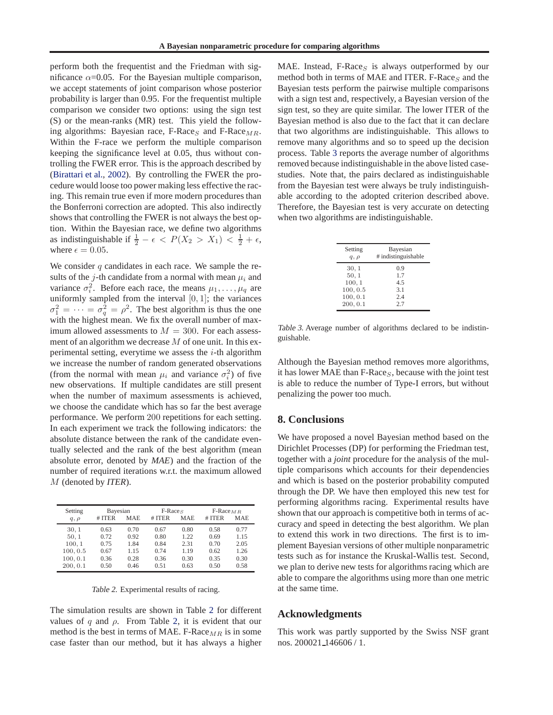perform both the frequentist and the Friedman with significance  $\alpha$ =0.05. For the Bayesian multiple comparison, we accept statements of joint comparison whose posterior probability is larger than 0.95. For the frequentist multiple comparison we consider two options: using the sign test (S) or the mean-ranks (MR) test. This yield the following algorithms: Bayesian race, F-Race<sub>S</sub> and F-Race<sub>MR</sub>. Within the F-race we perform the multiple comparison keeping the significance level at 0.05, thus without controlling the FWER error. This is the approach described by [\(Birattari et al.,](#page-8-0) [2002\)](#page-8-0). By controlling the FWER the procedure would loose too power making less effective the racing. This remain true even if more modern procedures than the Bonferroni correction are adopted. This also indirectly shows that controlling the FWER is not always the best option. Within the Bayesian race, we define two algorithms as indistinguishable if  $\frac{1}{2} - \epsilon < P(X_2 > X_1) < \frac{1}{2} + \epsilon$ , where  $\epsilon = 0.05$ .

We consider  $q$  candidates in each race. We sample the results of the j-th candidate from a normal with mean  $\mu_i$  and variance  $\sigma_i^2$ . Before each race, the means  $\mu_1, \ldots, \mu_q$  are uniformly sampled from the interval  $[0, 1]$ ; the variances  $\sigma_1^2 = \cdots = \sigma_q^2 = \rho^2$ . The best algorithm is thus the one with the highest mean. We fix the overall number of maximum allowed assessments to  $M = 300$ . For each assessment of an algorithm we decrease M of one unit. In this experimental setting, everytime we assess the  $i$ -th algorithm we increase the number of random generated observations (from the normal with mean  $\mu_i$  and variance  $\sigma_i^2$ ) of five new observations. If multiple candidates are still present when the number of maximum assessments is achieved, we choose the candidate which has so far the best average performance. We perform 200 repetitions for each setting. In each experiment we track the following indicators: the absolute distance between the rank of the candidate eventually selected and the rank of the best algorithm (mean absolute error, denoted by *MAE*) and the fraction of the number of required iterations w.r.t. the maximum allowed M (denoted by *ITER*).

| Setting   | Bayesian |            | $F-RaceS$ |            | $F-Race_{MR}$ |            |
|-----------|----------|------------|-----------|------------|---------------|------------|
| $q, \rho$ | # ITER   | <b>MAE</b> | # ITER    | <b>MAE</b> | # ITER        | <b>MAE</b> |
| 30, 1     | 0.63     | 0.70       | 0.67      | 0.80       | 0.58          | 0.77       |
| 50, 1     | 0.72     | 0.92       | 0.80      | 1.22       | 0.69          | 1.15       |
| 100, 1    | 0.75     | 1.84       | 0.84      | 2.31       | 0.70          | 2.05       |
| 100, 0.5  | 0.67     | 1.15       | 0.74      | 1.19       | 0.62          | 1.26       |
| 100, 0.1  | 0.36     | 0.28       | 0.36      | 0.30       | 0.35          | 0.30       |
| 200, 0.1  | 0.50     | 0.46       | 0.51      | 0.63       | 0.50          | 0.58       |

Table 2. Experimental results of racing.

The simulation results are shown in Table 2 for different values of q and  $\rho$ . From Table 2, it is evident that our method is the best in terms of MAE. F-Race  $_{MR}$  is in some case faster than our method, but it has always a higher

MAE. Instead, F-Race<sub>S</sub> is always outperformed by our method both in terms of MAE and ITER. F-Race<sub>S</sub> and the Bayesian tests perform the pairwise multiple comparisons with a sign test and, respectively, a Bayesian version of the sign test, so they are quite similar. The lower ITER of the Bayesian method is also due to the fact that it can declare that two algorithms are indistinguishable. This allows to remove many algorithms and so to speed up the decision process. Table 3 reports the average number of algorithms removed because indistinguishable in the above listed casestudies. Note that, the pairs declared as indistinguishable from the Bayesian test were always be truly indistinguishable according to the adopted criterion described above. Therefore, the Bayesian test is very accurate on detecting when two algorithms are indistinguishable.

| Setting   | Bayesian            |
|-----------|---------------------|
| $q, \rho$ | # indistinguishable |
| 30, 1     | 0.9                 |
| 50, 1     | 1.7                 |
| 100, 1    | 4.5                 |
| 100, 0.5  | 3.1                 |
| 100, 0.1  | 2.4                 |
| 200, 0.1  | 2.7                 |

Table 3. Average number of algorithms declared to be indistinguishable.

Although the Bayesian method removes more algorithms, it has lower MAE than  $F$ -Race<sub>S</sub>, because with the joint test is able to reduce the number of Type-I errors, but without penalizing the power too much.

### **8. Conclusions**

We have proposed a novel Bayesian method based on the Dirichlet Processes (DP) for performing the Friedman test, together with a *joint* procedure for the analysis of the multiple comparisons which accounts for their dependencies and which is based on the posterior probability computed through the DP. We have then employed this new test for performing algorithms racing. Experimental results have shown that our approach is competitive both in terms of accuracy and speed in detecting the best algorithm. We plan to extend this work in two directions. The first is to implement Bayesian versions of other multiple nonparametric tests such as for instance the Kruskal-Wallis test. Second, we plan to derive new tests for algorithms racing which are able to compare the algorithms using more than one metric at the same time.

#### **Acknowledgments**

This work was partly supported by the Swiss NSF grant nos. 200021 146606 / 1.